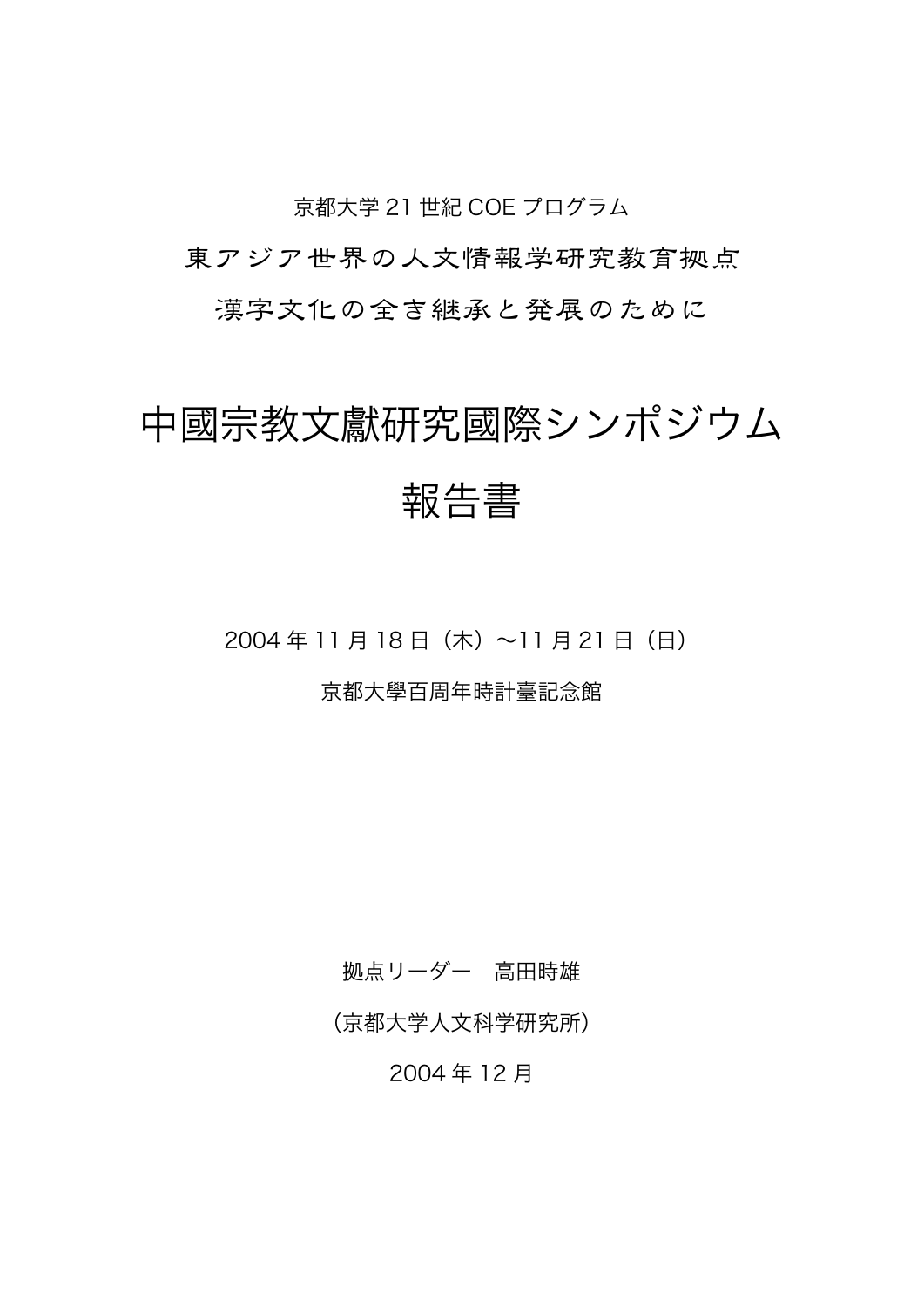京都大学 21 世紀 COE プログラム

東アジア世界の人文情報学研究教育拠点

漢字文化の全き継承と発展のために

# 中國宗教文獻研究國際シンポジウム 報告書

2004 年 11 月 18 日(木)~11 月 21 日(日)

京都大學百周年時計臺記念館

拠点リーダー 高田時雄

(京都大学人文科学研究所)

2004 年 12 月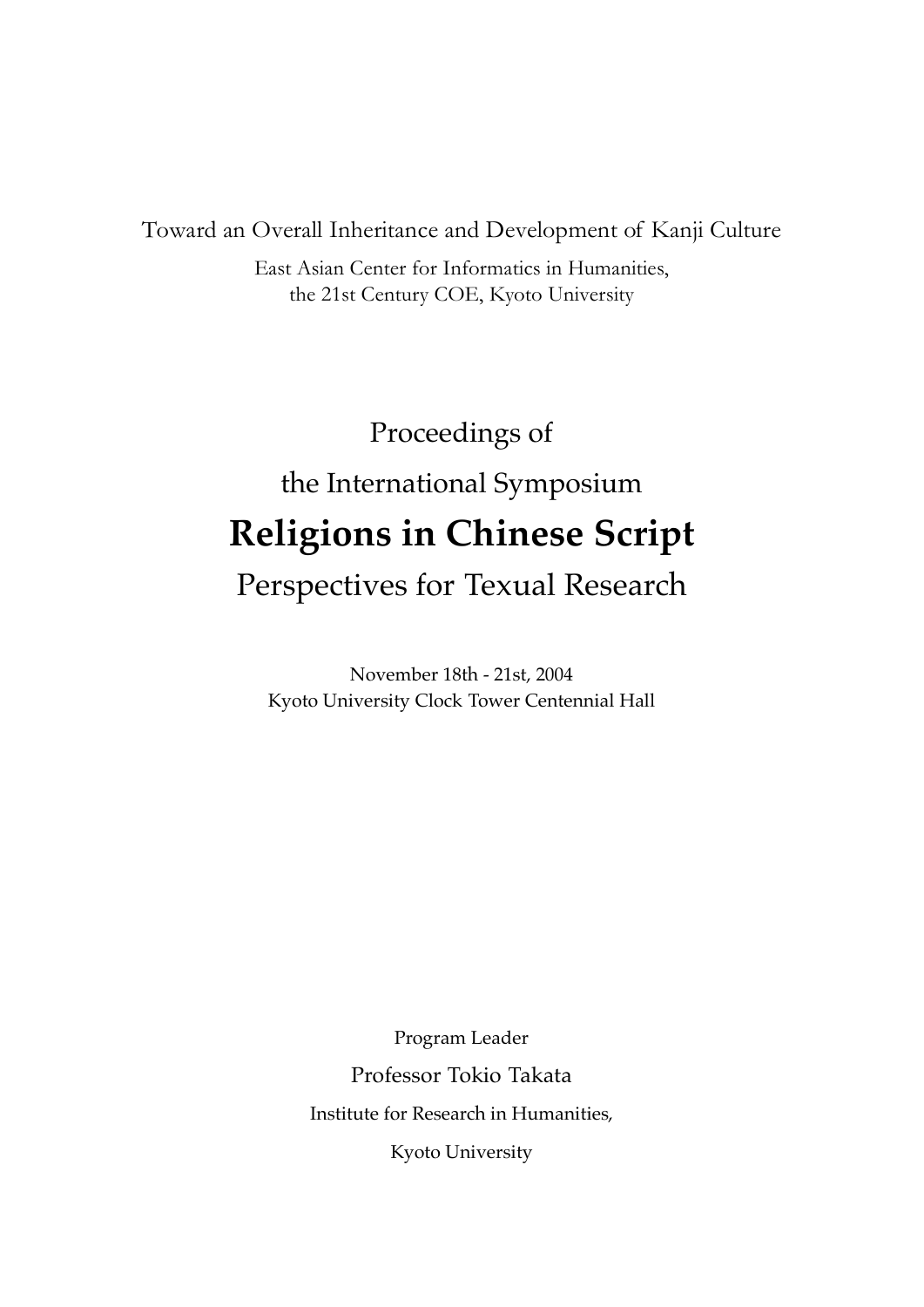Toward an Overall Inheritance and Development of Kanji Culture

East Asian Center for Informatics in Humanities, the 21st Century COE, Kyoto University

## Proceedings of

# the International Symposium **Religions in Chinese Script**

### Perspectives for Texual Research

November 18th - 21st, 2004 Kyoto University Clock Tower Centennial Hall

> Program Leader Professor Tokio Takata Institute for Research in Humanities, Kyoto University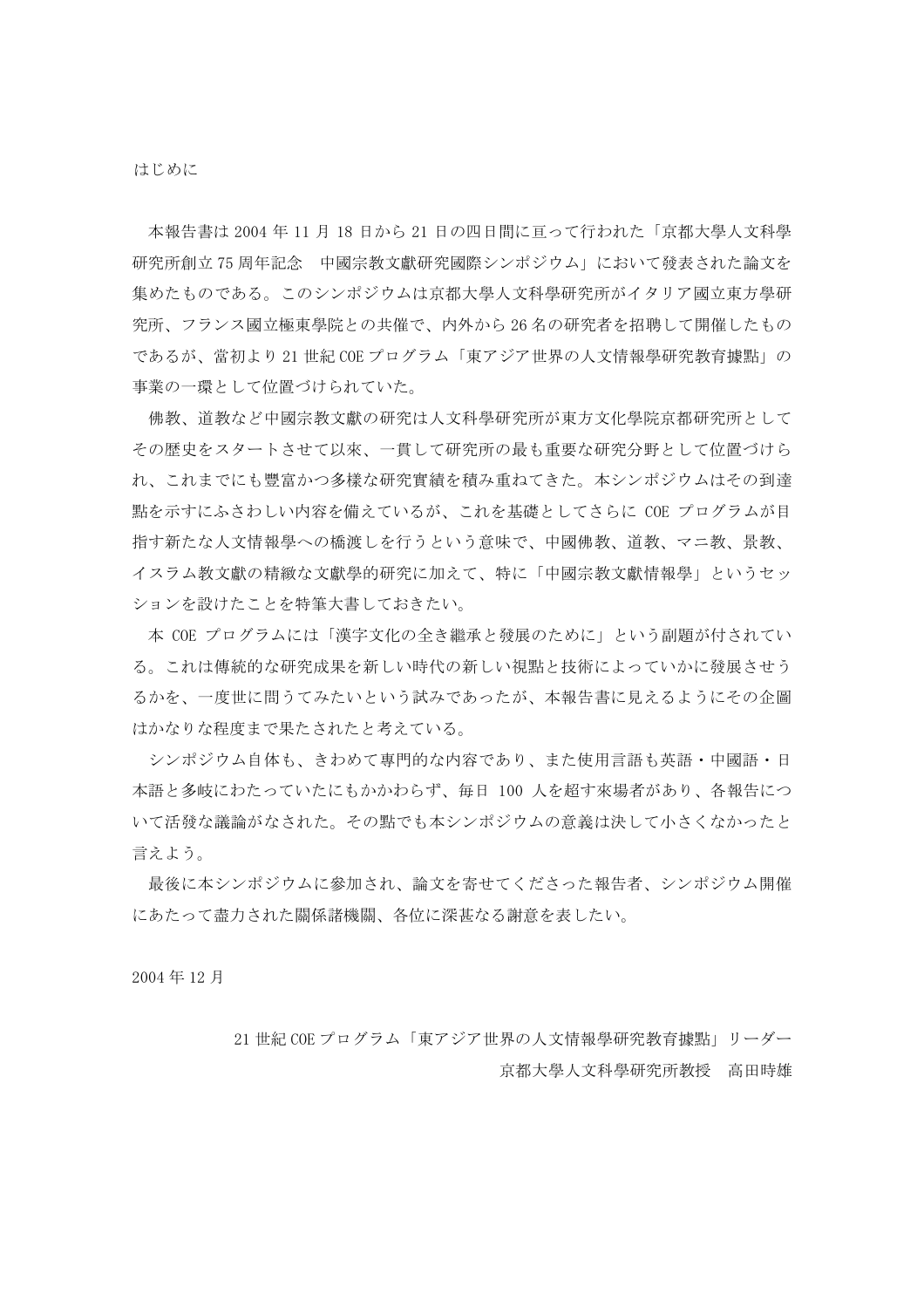本報告書は 2004年11月18日から21日の四日間に百って行われた「京都大學人文科學 研究所創立75周年記念 中國宗教文獻研究國際シンポジウム」において發表された論文を 集めたものである。このシンポジウムは京都大學人文科學研究所がイタリア國立東方學研 究所、フランス國立極東學院との共催で、内外から26名の研究者を招聘して開催したもの であるが、當初より 21世紀 COE プログラム「東アジア世界の人文情報學研究教育據點」の 事業の一環として位置づけられていた。

佛教、道教など中國宗教文獻の研究は人文科學研究所が東方文化學院京都研究所として その歴史をスタートさせて以來、一貫して研究所の最も重要な研究分野として位置づけら れ、これまでにも豐富かつ多樣な研究實績を積み重ねてきた。本シンポジウムはその到達 點を示すにふさわしい内容を備えているが、これを基礎としてさらに COE プログラムが目 指す新たな人文情報學への橋渡しを行うという意味で、中國佛教、道教、マニ教、景教、 イスラム教文獻の精緻な文獻學的研究に加えて、特に「中國宗教文獻情報學」というセッ ションを設けたことを特筆大書しておきたい。

本 COE プログラムには「漢字文化の全き繼承と發展のために」という副題が付されてい る。これは傳統的な研究成果を新しい時代の新しい視點と技術によっていかに發展させう るかを、一度世に問うてみたいという試みであったが、本報告書に見えるようにその企圖 はかなりな程度まで果たされたと考えている。

シンポジウム自体も、きわめて專門的な内容であり、また使用言語も英語・中國語・日 本語と多岐にわたっていたにもかかわらず、毎日 100 人を超す來場者があり、各報告につ いて活發な議論がなされた。その點でも本シンポジウムの意義は決して小さくなかったと 言えよう。

最後に本シンポジウムに參加され、論文を寄せてくださった報告者、シンポジウム開催 にあたって盡力された關係諸機關、各位に深甚なる謝意を表したい。

2004年12月

21 世紀 COE プログラム「東アジア世界の人文情報學研究教育據點」リーダー 京都大學人文科學研究所教授 高田時雄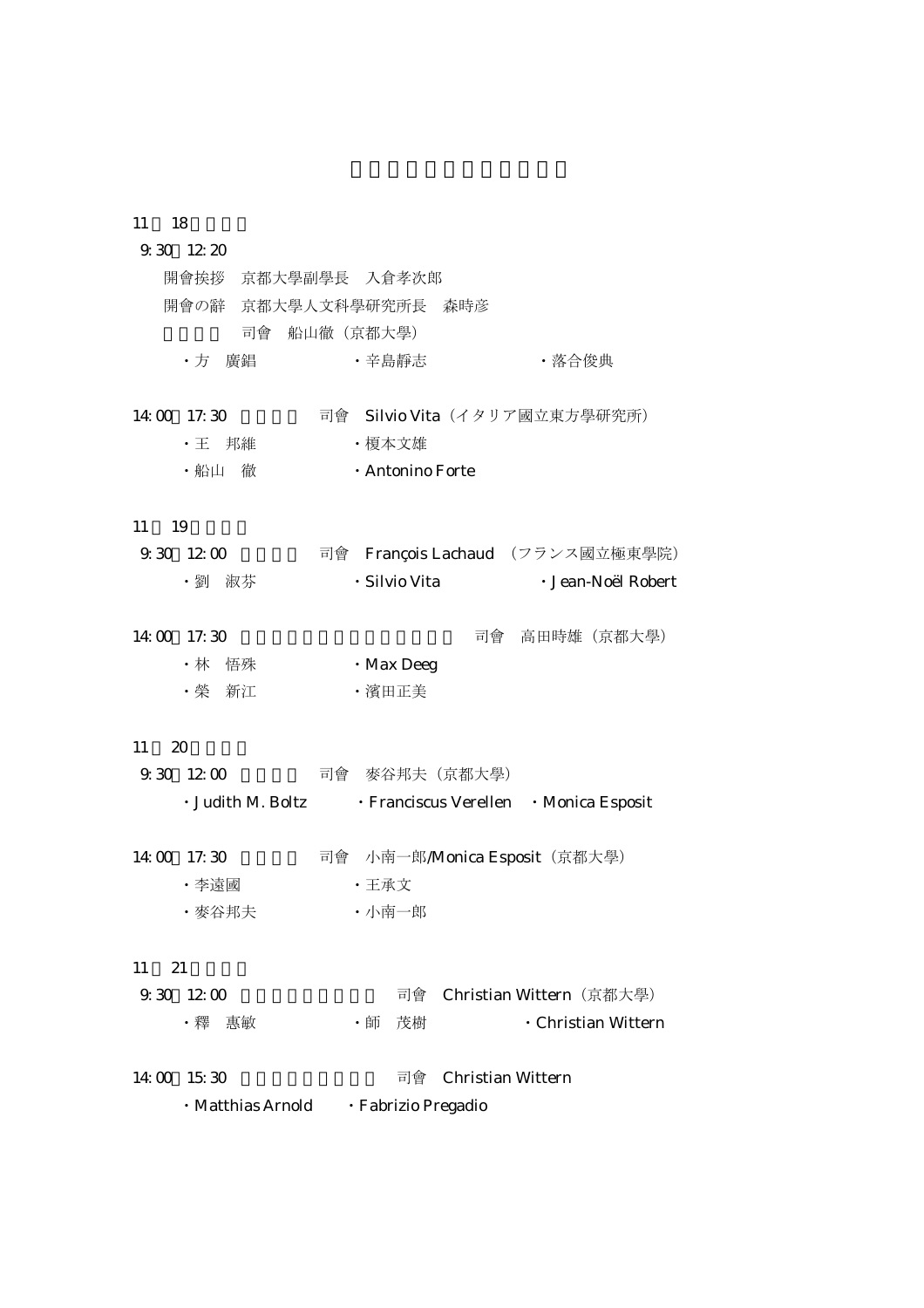#### 11 18

| $9.30\quad12.20$   |                                                          |  |
|--------------------|----------------------------------------------------------|--|
| 開會挨拶 京都大學副學長 入倉孝次郎 |                                                          |  |
|                    | 開會の辭 京都大學人文科學研究所長 森時彦                                    |  |
|                    | 司會 船山徹 (京都大學)                                            |  |
| ・方 廣錩              | ·辛島靜志<br>・落合俊典                                           |  |
|                    |                                                          |  |
| 14:00 17:30        | 司會 Silvio Vita (イタリア國立東方學研究所)                            |  |
| • 王 邦維             | ・榎本文雄                                                    |  |
| ・船山 徹              | · Antonino Forte                                         |  |
|                    |                                                          |  |
| 11<br>19           |                                                          |  |
| 9.301200           | 司會 François Lachaud (フランス國立極東學院)                         |  |
| ・劉 淑芬              | · Silvio Vita<br>· Jean-Noël Robert                      |  |
|                    |                                                          |  |
| 14:00 17:30        | 司會 高田時雄 (京都大學)                                           |  |
| ・林 悟殊              | $\cdot$ Max Deeg                                         |  |
| ・榮 新江              | ·濱田正美                                                    |  |
|                    |                                                          |  |
| 11<br>$\infty$     |                                                          |  |
| 9.301200           | 司會 麥谷邦夫(京都大學)                                            |  |
|                    | · Judith M. Boltz • Franciscus Verellen • Monica Esposit |  |
|                    |                                                          |  |
| 14:00 17:30        | 司會 小南一郎/Monica Esposit (京都大學)                            |  |
| ・李遠國               | ・王承文                                                     |  |
| ・麥谷邦夫              | ・小南一郎                                                    |  |
|                    |                                                          |  |
| 11<br>21           |                                                          |  |
| 9.301200           | 司會 Christian Wittern (京都大學)                              |  |
| ・釋 惠敏              | 茂樹<br>· Christian Wittern<br>・師                          |  |
|                    |                                                          |  |
| 14:00 15:30        | 司會<br><b>Christian Wittern</b>                           |  |
| • Matthias Arnold  | · Fabrizio Pregadio                                      |  |
|                    |                                                          |  |